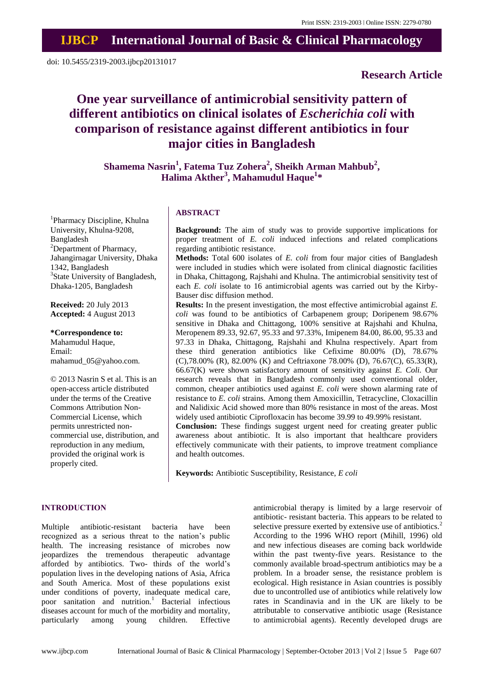# **Research Article**

# **One year surveillance of antimicrobial sensitivity pattern of different antibiotics on clinical isolates of** *Escherichia coli* **with comparison of resistance against different antibiotics in four major cities in Bangladesh**

**Shamema Nasrin<sup>1</sup> , Fatema Tuz Zohera<sup>2</sup> , Sheikh Arman Mahbub<sup>2</sup> , Halima Akther<sup>3</sup> , Mahamudul Haque<sup>1</sup> \***

<sup>1</sup>Pharmacy Discipline, Khulna University, Khulna-9208, Bangladesh <sup>2</sup>Department of Pharmacy, Jahangirnagar University, Dhaka 1342, Bangladesh <sup>3</sup>State University of Bangladesh, Dhaka-1205, Bangladesh

**Received:** 20 July 2013 **Accepted:** 4 August 2013

**\*Correspondence to:** Mahamudul Haque, Email: mahamud\_05@yahoo.com.

© 2013 Nasrin S et al. This is an open-access article distributed under the terms of the Creative Commons Attribution Non-Commercial License, which permits unrestricted noncommercial use, distribution, and reproduction in any medium, provided the original work is properly cited.

## **ABSTRACT**

**Background:** The aim of study was to provide supportive implications for proper treatment of *E. coli* induced infections and related complications regarding antibiotic resistance.

**Methods:** Total 600 isolates of *E. coli* from four major cities of Bangladesh were included in studies which were isolated from clinical diagnostic facilities in Dhaka, Chittagong, Rajshahi and Khulna. The antimicrobial sensitivity test of each *E. coli* isolate to 16 antimicrobial agents was carried out by the Kirby-Bauser disc diffusion method.

**Results:** In the present investigation, the most effective antimicrobial against *E. coli* was found to be antibiotics of Carbapenem group; Doripenem 98.67% sensitive in Dhaka and Chittagong, 100% sensitive at Rajshahi and Khulna, Meropenem 89.33, 92.67, 95.33 and 97.33%, Imipenem 84.00, 86.00, 95.33 and 97.33 in Dhaka, Chittagong, Rajshahi and Khulna respectively. Apart from these third generation antibiotics like Cefixime 80.00% (D), 78.67% (C),78.00% (R), 82.00% (K) and Ceftriaxone 78.00% (D), 76.67(C), 65.33(R), 66.67(K) were shown satisfactory amount of sensitivity against *E. Coli.* Our research reveals that in Bangladesh commonly used conventional older, common, cheaper antibiotics used against *E. coli* were shown alarming rate of resistance to *E. coli* strains. Among them Amoxicillin, Tetracycline, Cloxacillin and Nalidixic Acid showed more than 80% resistance in most of the areas. Most widely used antibiotic Ciprofloxacin has become 39.99 to 49.99% resistant.

**Conclusion:** These findings suggest urgent need for creating greater public awareness about antibiotic. It is also important that healthcare providers effectively communicate with their patients, to improve treatment compliance and health outcomes.

**Keywords:** Antibiotic Susceptibility, Resistance, *E coli*

#### **INTRODUCTION**

Multiple antibiotic-resistant bacteria have been recognized as a serious threat to the nation's public health. The increasing resistance of microbes now jeopardizes the tremendous therapeutic advantage afforded by antibiotics. Two- thirds of the world's population lives in the developing nations of Asia, Africa and South America. Most of these populations exist under conditions of poverty, inadequate medical care, poor sanitation and nutrition.<sup>1</sup> Bacterial infectious diseases account for much of the morbidity and mortality, particularly among young children. Effective

antimicrobial therapy is limited by a large reservoir of antibiotic- resistant bacteria. This appears to be related to selective pressure exerted by extensive use of antibiotics.<sup>2</sup> According to the 1996 WHO report (Mihill, 1996) old and new infectious diseases are coming back worldwide within the past twenty-five years. Resistance to the commonly available broad-spectrum antibiotics may be a problem. In a broader sense, the resistance problem is ecological. High resistance in Asian countries is possibly due to uncontrolled use of antibiotics while relatively low rates in Scandinavia and in the UK are likely to be attributable to conservative antibiotic usage (Resistance to antimicrobial agents). Recently developed drugs are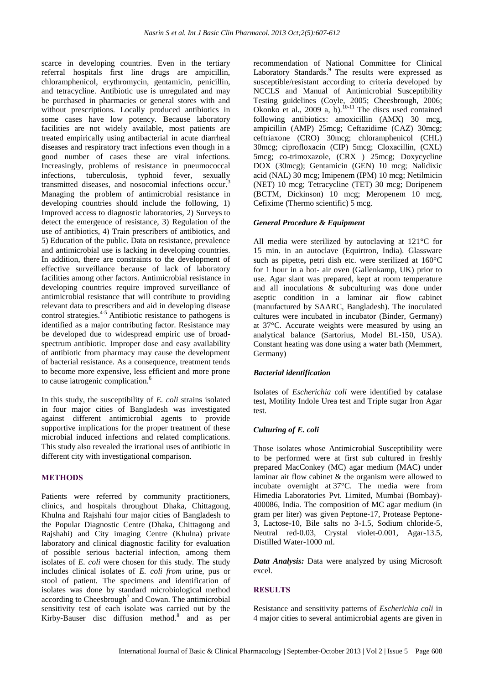scarce in developing countries. Even in the tertiary referral hospitals first line drugs are ampicillin, chloramphenicol, erythromycin, gentamicin, penicillin, and tetracycline. Antibiotic use is unregulated and may be purchased in pharmacies or general stores with and without prescriptions. Locally produced antibiotics in some cases have low potency. Because laboratory facilities are not widely available, most patients are treated empirically using antibacterial in acute diarrheal diseases and respiratory tract infections even though in a good number of cases these are viral infections. Increasingly, problems of resistance in pneumococcal infections, tuberculosis, typhoid fever, sexually transmitted diseases, and nosocomial infections occur.<sup>3</sup> Managing the problem of antimicrobial resistance in developing countries should include the following, 1) Improved access to diagnostic laboratories, 2) Surveys to detect the emergence of resistance, 3) Regulation of the use of antibiotics, 4) Train prescribers of antibiotics, and 5) Education of the public. Data on resistance, prevalence and antimicrobial use is lacking in developing countries. In addition, there are constraints to the development of effective surveillance because of lack of laboratory facilities among other factors. Antimicrobial resistance in developing countries require improved surveillance of antimicrobial resistance that will contribute to providing relevant data to prescribers and aid in developing disease control strategies.<sup>4-5</sup> Antibiotic resistance to pathogens is identified as a major contributing factor. Resistance may be developed due to widespread empiric use of broadspectrum antibiotic. Improper dose and easy availability of antibiotic from pharmacy may cause the development of bacterial resistance. As a consequence, treatment tends to become more expensive, less efficient and more prone to cause iatrogenic complication.<sup>6</sup>

In this study, the susceptibility of *E. coli* strains isolated in four major cities of Bangladesh was investigated against different antimicrobial agents to provide supportive implications for the proper treatment of these microbial induced infections and related complications. This study also revealed the irrational uses of antibiotic in different city with investigational comparison.

## **METHODS**

Patients were referred by community practitioners, clinics, and hospitals throughout Dhaka, Chittagong, Khulna and Rajshahi four major cities of Bangladesh to the Popular Diagnostic Centre (Dhaka, Chittagong and Rajshahi) and City imaging Centre (Khulna) private laboratory and clinical diagnostic facility for evaluation of possible serious bacterial infection, among them isolates of *E. coli* were chosen for this study. The study includes clinical isolates of *E. coli from* urine, pus or stool of patient*.* The specimens and identification of isolates was done by standard microbiological method according to Cheesbrough<sup>7</sup> and Cowan. The antimicrobial sensitivity test of each isolate was carried out by the Kirby-Bauser disc diffusion method. $8$  and as per recommendation of National Committee for Clinical Laboratory Standards.<sup>9</sup> The results were expressed as susceptible/resistant according to criteria developed by NCCLS and Manual of Antimicrobial Susceptibility Testing guidelines (Coyle, 2005; Cheesbrough, 2006; Tesung guidelines (Coyn, 2000), Checocoongu, 2000), Okonko et al., 2009 a, b).<sup>10-11</sup> The discs used contained following antibiotics: amoxicillin (AMX) 30 mcg, ampicillin (AMP) 25mcg; Ceftazidime (CAZ) 30mcg; ceftriaxone (CRO) 30mcg; chloramphenicol (CHL) 30mcg; ciprofloxacin (CIP) 5mcg; Cloxacillin, (CXL) 5mcg; co-trimoxazole, (CRX ) 25mcg; Doxycycline DOX (30mcg); Gentamicin (GEN) 10 mcg; Nalidixic acid (NAL) 30 mcg; Imipenem (IPM) 10 mcg; Netilmicin (NET) 10 mcg; Tetracycline (TET) 30 mcg; Doripenem (BCTM, Dickinson) 10 mcg; Meropenem 10 mcg, Cefixime (Thermo scientific) 5 mcg.

#### *General Procedure & Equipment*

All media were sterilized by autoclaving at 121°C for 15 min. in an autoclave (Equirtron, India). Glassware such as pipette**,** petri dish etc. were sterilized at 160°C for 1 hour in a hot- air oven (Gallenkamp, UK) prior to use. Agar slant was prepared, kept at room temperature and all inoculations & subculturing was done under aseptic condition in a laminar air flow cabinet (manufactured by SAARC, Bangladesh). The inoculated cultures were incubated in incubator (Binder, Germany) at 37°C. Accurate weights were measured by using an analytical balance (Sartorius, Model BL-150, USA). Constant heating was done using a water bath (Memmert, Germany)

#### *Bacterial identification*

Isolates of *Escherichia coli* were identified by catalase test, Motility Indole Urea test and Triple sugar Iron Agar test.

#### *Culturing of E. coli*

Those isolates whose Antimicrobial Susceptibility were to be performed were at first sub cultured in freshly prepared MacConkey (MC) agar medium (MAC) under laminar air flow cabinet & the organism were allowed to incubate overnight at 37°C. The media were from Himedia Laboratories Pvt. Limited, Mumbai (Bombay)- 400086, India. The composition of MC agar medium (in gram per liter) was given Peptone-17, Protease Peptone-3, Lactose-10, Bile salts no 3-1.5, Sodium chloride-5, Neutral red-0.03, Crystal violet-0.001, Agar-13.5, Distilled Water-1000 ml.

*Data Analysis:* Data were analyzed by using Microsoft excel.

#### **RESULTS**

Resistance and sensitivity patterns of *Escherichia coli* in 4 major cities to several antimicrobial agents are given in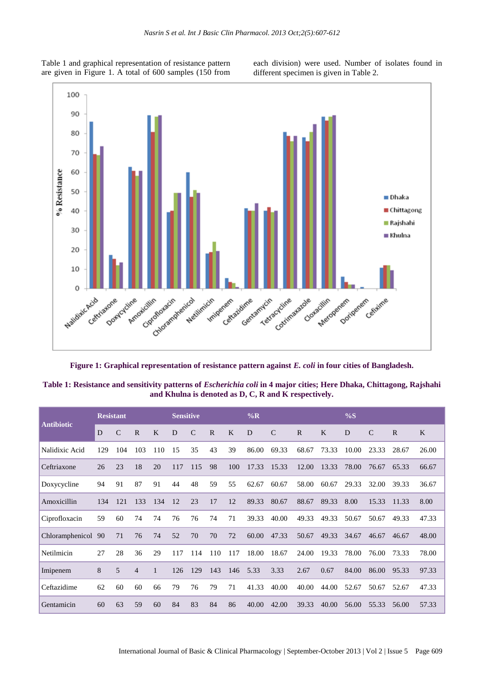Table 1 and graphical representation of resistance pattern are given in Figure 1. A total of 600 samples (150 from each division) were used. Number of isolates found in different specimen is given in Table 2.



**Figure 1: Graphical representation of resistance pattern against** *E. coli* **in four cities of Bangladesh.**

| Table 1: Resistance and sensitivity patterns of <i>Escherichia coli</i> in 4 major cities; Here Dhaka, Chittagong, Rajshahi |  |
|-----------------------------------------------------------------------------------------------------------------------------|--|
| and Khulna is denoted as D, C, R and K respectively.                                                                        |  |

| <b>Antibiotic</b> | <b>Resistant</b> |               |                |              | <b>Sensitive</b> |               |             | $\%R$ |       |               | $\%S$        |              |       |               |              |              |
|-------------------|------------------|---------------|----------------|--------------|------------------|---------------|-------------|-------|-------|---------------|--------------|--------------|-------|---------------|--------------|--------------|
|                   | D                | $\mathcal{C}$ | $\mathbf R$    | $\mathbf{K}$ | D                | $\mathcal{C}$ | $\mathbf R$ | K     | D     | $\mathcal{C}$ | $\mathbb{R}$ | $\mathbf{K}$ | D     | $\mathcal{C}$ | $\mathbb{R}$ | $\mathbf{K}$ |
| Nalidixic Acid    | 129              | 104           | 103            | 110          | 15               | 35            | 43          | 39    | 86.00 | 69.33         | 68.67        | 73.33        | 10.00 | 23.33         | 28.67        | 26.00        |
| Ceftriaxone       | 26               | 23            | 18             | 20           | 117              | 115           | 98          | 100   | 17.33 | 15.33         | 12.00        | 13.33        | 78.00 | 76.67         | 65.33        | 66.67        |
| Doxycycline       | 94               | 91            | 87             | 91           | 44               | 48            | 59          | 55    | 62.67 | 60.67         | 58.00        | 60.67        | 29.33 | 32.00         | 39.33        | 36.67        |
| Amoxicillin       | 134              | 121           | 133            | 134          | 12               | 23            | 17          | 12    | 89.33 | 80.67         | 88.67        | 89.33        | 8.00  | 15.33         | 11.33        | 8.00         |
| Ciprofloxacin     | 59               | 60            | 74             | 74           | 76               | 76            | 74          | 71    | 39.33 | 40.00         | 49.33        | 49.33        | 50.67 | 50.67         | 49.33        | 47.33        |
| Chloramphenicol   | 90               | 71            | 76             | 74           | 52               | 70            | 70          | 72    | 60.00 | 47.33         | 50.67        | 49.33        | 34.67 | 46.67         | 46.67        | 48.00        |
| Netilmicin        | 27               | 28            | 36             | 29           | 117              | 114           | 110         | 117   | 18.00 | 18.67         | 24.00        | 19.33        | 78.00 | 76.00         | 73.33        | 78.00        |
| Imipenem          | 8                | 5             | $\overline{4}$ | 1            | 126              | 129           | 143         | 146   | 5.33  | 3.33          | 2.67         | 0.67         | 84.00 | 86.00         | 95.33        | 97.33        |
| Ceftazidime       | 62               | 60            | 60             | 66           | 79               | 76            | 79          | 71    | 41.33 | 40.00         | 40.00        | 44.00        | 52.67 | 50.67         | 52.67        | 47.33        |
| Gentamicin        | 60               | 63            | 59             | 60           | 84               | 83            | 84          | 86    | 40.00 | 42.00         | 39.33        | 40.00        | 56.00 | 55.33         | 56.00        | 57.33        |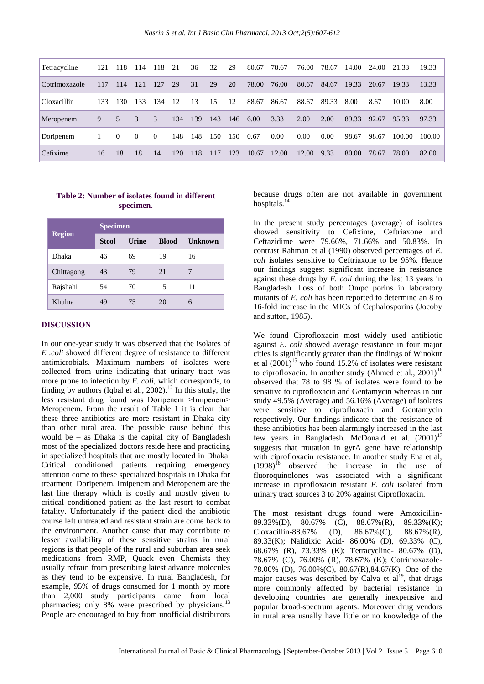| Tetracycline  | 121 | 118         | 114      | 118      | 21  | 36  | 32  | 29  | 80.67 | 78.67 | 76.00 | 78.67 | 14.00 | 24.00 | 21.33  | 19.33  |
|---------------|-----|-------------|----------|----------|-----|-----|-----|-----|-------|-------|-------|-------|-------|-------|--------|--------|
| Cotrimoxazole | 117 | 114         | 121      | 127      | 29  | 31  | 29  | 20  | 78.00 | 76.00 | 80.67 | 84.67 | 19.33 | 20.67 | 19.33  | 13.33  |
| Cloxacillin   | 133 | 130         | 133      | 134      | -12 | 13  | 15  | 12  | 88.67 | 86.67 | 88.67 | 89.33 | 8.00  | 8.67  | 10.00  | 8.00   |
| Meropenem     | 9   | $5^{\circ}$ | 3        | 3        | 134 | 139 | 143 | 146 | 6.00  | 3.33  | 2.00  | 2.00  | 89.33 | 92.67 | 95.33  | 97.33  |
| Doripenem     |     | $\Omega$    | $\Omega$ | $\Omega$ | 148 | 148 | 150 | 150 | 0.67  | 0.00  | 0.00  | 0.00  | 98.67 | 98.67 | 100.00 | 100.00 |
| Cefixime      | 16  | 18          | 18       | 14       | 120 | 118 | 117 | 123 | 10.67 | 12.00 | 12.00 | 9.33  | 80.00 | 78.67 | 78.00  | 82.00  |

# **Table 2: Number of isolates found in different specimen.**

|               | <b>Specimen</b> |       |              |         |  |  |  |  |  |  |  |
|---------------|-----------------|-------|--------------|---------|--|--|--|--|--|--|--|
| <b>Region</b> | <b>Stool</b>    | Urine | <b>Blood</b> | Unknown |  |  |  |  |  |  |  |
| Dhaka         | 46              | 69    | 19           | 16      |  |  |  |  |  |  |  |
| Chittagong    | 43              | 79    | 21           |         |  |  |  |  |  |  |  |
| Rajshahi      | 54              | 70    | 15           | 11      |  |  |  |  |  |  |  |
| Khulna        | 49              | 75    | 20           | 6       |  |  |  |  |  |  |  |

#### **DISCUSSION**

In our one-year study it was observed that the isolates of *E .coli* showed different degree of resistance to different antimicrobials. Maximum numbers of isolates were collected from urine indicating that urinary tract was more prone to infection by *E. coli,* which corresponds*,* to finding by authors (Iqbal et al., 2002).<sup>12</sup> In this study, the less resistant drug found was Doripenem >Imipenem> Meropenem. From the result of Table 1 it is clear that these three antibiotics are more resistant in Dhaka city than other rural area. The possible cause behind this would be – as Dhaka is the capital city of Bangladesh most of the specialized doctors reside here and practicing in specialized hospitals that are mostly located in Dhaka. Critical conditioned patients requiring emergency attention come to these specialized hospitals in Dhaka for treatment. Doripenem, Imipenem and Meropenem are the last line therapy which is costly and mostly given to critical conditioned patient as the last resort to combat fatality. Unfortunately if the patient died the antibiotic course left untreated and resistant strain are come back to the environment. Another cause that may contribute to lesser availability of these sensitive strains in rural regions is that people of the rural and suburban area seek medications from RMP, Quack even Chemists they usually refrain from prescribing latest advance molecules as they tend to be expensive. In rural Bangladesh, for example, 95% of drugs consumed for 1 month by more than 2,000 study participants came from local pharmacies; only 8% were prescribed by physicians.<sup>13</sup> People are encouraged to buy from unofficial distributors

because drugs often are not available in government hospitals. 14

In the present study percentages (average) of isolates showed sensitivity to Cefixime, Ceftriaxone and Ceftazidime were 79.66%, 71.66% and 50.83%. In contrast Rahman et al (1990) observed percentages of *E. coli* isolates sensitive to Ceftriaxone to be 95%. Hence our findings suggest significant increase in resistance against these drugs by *E. coli* during the last 13 years in Bangladesh. Loss of both Ompc porins in laboratory mutants of *E. coli* has been reported to determine an 8 to 16-fold increase in the MICs of Cephalosporins (Jocoby and sutton, 1985).

We found Ciprofloxacin most widely used antibiotic against *E. coli* showed average resistance in four major cities is significantly greater than the findings of Winokur et al  $(2001)^{15}$  who found 15.2% of isolates were resistant to ciprofloxacin. In another study (Ahmed et al.,  $2001$ )<sup>16</sup> observed that 78 to 98 % of isolates were found to be sensitive to ciprofloxacin and Gentamycin whereas in our study 49.5% (Average) and 56.16% (Average) of isolates were sensitive to ciprofloxacin and Gentamycin respectively. Our findings indicate that the resistance of these antibiotics has been alarmingly increased in the last few years in Bangladesh. McDonald et al.  $(2001)^{17}$ suggests that mutation in gyrA gene have relationship with ciprofloxacin resistance. In another study Ena et al,  $(1998)^{18}$  observed the increase in the use of fluoroquinolones was associated with a significant increase in ciprofloxacin resistant *E. coli* isolated from urinary tract sources 3 to 20% against Ciprofloxacin.

The most resistant drugs found were Amoxicillin-89.33%(D), 80.67% (C), 88.67%(R), 89.33%(K); Cloxacillin-88.67% (D),  $86.67\%$  (C),  $88.67\%$  (R), 89.33(K); Nalidixic Acid- 86.00% (D), 69.33% (C), 68.67% (R), 73.33% (K); Tetracycline- 80.67% (D), 78.67% (C), 76.00% (R), 78.67% (K); Cotrimoxazole-78.00% (D), 76.00%(C), 80.67(R),84.67(K). One of the major causes was described by Calva et  $al<sup>19</sup>$ , that drugs more commonly affected by bacterial resistance in developing countries are generally inexpensive and popular broad-spectrum agents. Moreover drug vendors in rural area usually have little or no knowledge of the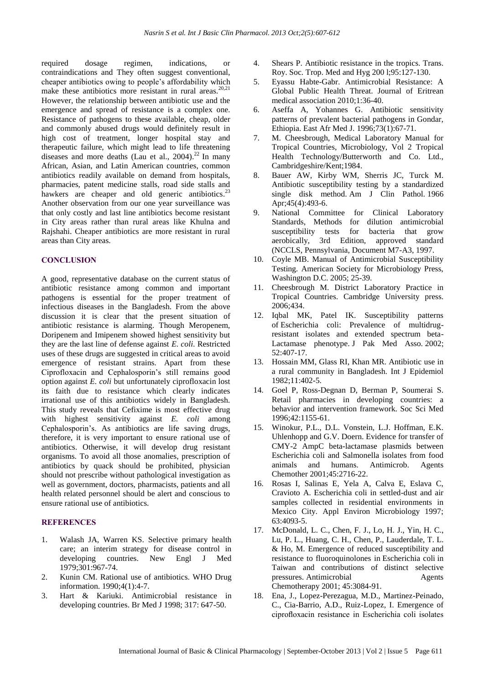required dosage regimen, indications, or contraindications and They often suggest conventional, cheaper antibiotics owing to people's affordability which make these antibiotics more resistant in rural areas.<sup>20,21</sup> However, the relationship between antibiotic use and the emergence and spread of resistance is a complex one. Resistance of pathogens to these available, cheap, older and commonly abused drugs would definitely result in high cost of treatment, longer hospital stay and therapeutic failure, which might lead to life threatening diseases and more deaths (Lau et al.,  $2004$ ).<sup>22</sup> In many African, Asian, and Latin American countries, common antibiotics readily available on demand from hospitals, pharmacies, patent medicine stalls, road side stalls and hawkers are cheaper and old generic antibiotics.<sup>23</sup> Another observation from our one year surveillance was that only costly and last line antibiotics become resistant in City areas rather than rural areas like Khulna and Rajshahi. Cheaper antibiotics are more resistant in rural areas than City areas.

#### **CONCLUSION**

A good, representative database on the current status of antibiotic resistance among common and important pathogens is essential for the proper treatment of infectious diseases in the Bangladesh. From the above discussion it is clear that the present situation of antibiotic resistance is alarming. Though Meropenem, Doripenem and Imipenem showed highest sensitivity but they are the last line of defense against *E. coli*. Restricted uses of these drugs are suggested in critical areas to avoid emergence of resistant strains. Apart from these Ciprofloxacin and Cephalosporin's still remains good option against *E. coli* but unfortunately ciprofloxacin lost its faith due to resistance which clearly indicates irrational use of this antibiotics widely in Bangladesh. This study reveals that Cefixime is most effective drug with highest sensitivity against *E. coli* among Cephalosporin's. As antibiotics are life saving drugs, therefore, it is very important to ensure rational use of antibiotics. Otherwise, it will develop drug resistant organisms. To avoid all those anomalies, prescription of antibiotics by quack should be prohibited, physician should not prescribe without pathological investigation as well as government, doctors, pharmacists, patients and all health related personnel should be alert and conscious to ensure rational use of antibiotics.

# **REFERENCES**

- 1. Walash JA, Warren KS. Selective primary health care; an interim strategy for disease control in developing countries. New Engl J Med 1979;301:967-74.
- 2. Kunin CM. Rational use of antibiotics. WHO Drug information. 1990;4(1):4-7.
- 3. Hart & Kariuki. Antimicrobial resistance in developing countries. Br Med J 1998; 317: 647-50.
- 4. Shears P. Antibiotic resistance in the tropics. Trans. Roy. Soc. Trop. Med and Hyg 200 l;95:127-130.
- 5. Eyassu Habte-Gabr. Antimicrobial Resistance: A Global Public Health Threat. Journal of Eritrean medical association 2010;1:36-40.
- 6. Aseffa A, Yohannes G. Antibiotic sensitivity patterns of prevalent bacterial pathogens in Gondar, Ethiopia. East Afr Med J. 1996;73(1):67-71.
- 7. M. Cheesbrough, Medical Laboratory Manual for Tropical Countries, Microbiology, Vol 2 Tropical Health Technology/Butterworth and Co. Ltd., Cambridgeshire/Kent;1984.
- 8. Bauer AW, Kirby WM, Sherris JC, Turck M. Antibiotic susceptibility testing by a standardized single disk method. Am J Clin Pathol. 1966 Apr;45(4):493-6.
- 9. National Committee for Clinical Laboratory Standards, Methods for dilution antimicrobial susceptibility tests for bacteria that grow aerobically, 3rd Edition, approved standard (NCCLS, Pennsylvania, Document M7-A3, 1997.
- 10. Coyle MB. Manual of Antimicrobial Susceptibility Testing. American Society for Microbiology Press, Washington D.C. 2005; 25-39.
- 11. Cheesbrough M. District Laboratory Practice in Tropical Countries. Cambridge University press. 2006;434.
- 12. Iqbal MK, Patel IK. Susceptibility patterns of Escherichia coli: Prevalence of multidrugresistant isolates and extended spectrum beta-Lactamase phenotype. J Pak Med Asso. 2002; 52:407-17.
- 13. Hossain MM, Glass RI, Khan MR. Antibiotic use in a rural community in Bangladesh. Int J Epidemiol 1982;11:402-5.
- 14. Goel P, Ross-Degnan D, Berman P, Soumerai S. Retail pharmacies in developing countries: a behavior and intervention framework. Soc Sci Med  $1996 \cdot 42 \cdot 1155 - 61$
- 15. Winokur, P.L., D.L. Vonstein, L.J. Hoffman, E.K. Uhlenhopp and G.V. Doern. Evidence for transfer of CMY-2 AmpC beta-lactamase plasmids between Escherichia coli and Salmonella isolates from food animals and humans. Antimicrob. Agents Chemother 2001;45:2716-22.
- 16. Rosas I, Salinas E, Yela A, Calva E, Eslava C, Cravioto A. Escherichia coli in settled-dust and air samples collected in residential environments in Mexico City. Appl Environ Microbiology 1997; 63:4093-5.
- 17. McDonald, L. C., Chen, F. J., Lo, H. J., Yin, H. C., Lu, P. L., Huang, C. H., Chen, P., Lauderdale, T. L. & Ho, M. Emergence of reduced susceptibility and resistance to fluoroquinolones in Escherichia coli in Taiwan and contributions of distinct selective pressures. Antimicrobial Agents Chemotherapy 2001; 45:3084-91.
- 18. Ena, J., Lopez-Perezagua, M.D., Martinez-Peinado, C., Cia-Barrio, A.D., Ruiz-Lopez, I. Emergence of ciprofloxacin resistance in Escherichia coli isolates